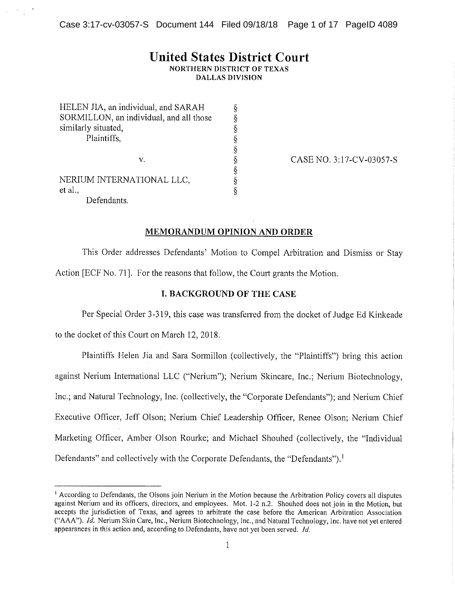# **United States District Court**

**NORTHERN DISTRICT OF TEXAS DALLAS DIVISION** 

89899999999999999

| HELEN JIA, an individual, and SARAH<br>SORMILLON, an individual, and all those<br>similarly situated,<br>Plaintiffs, |
|----------------------------------------------------------------------------------------------------------------------|
|                                                                                                                      |
| v.                                                                                                                   |
| NERIUM INTERNATIONAL LLC,<br>et al.,                                                                                 |
| Defendants.                                                                                                          |

CASE NO. 3:17-CV-03057-S

#### **MEMORANDUM OPINION AND ORDER**

This Order addresses Defendants' Motion to Compel Arbitration and Dismiss or Stay Action [ECF No. 71]. For the reasons that follow, the Court grants the Motion.

#### **I. BACKGROUND OF THE CASE**

Per Special Order 3-319, this case was transferred from the docket of Judge Ed Kinkeade

to the docket of this Court on March 12, 2018.

Plaintiffs Helen Jia and Sara Sormillon (collectively, the "Plaintiffs") bring this action against Nerium International LLC ("Nerium"); Nerium Skincare, Inc.; Nerium Biotechnology, Inc.; and Natural Technology, Inc. (collectively, the "Corporate Defendants"); and Nerium Chief Executive Officer, Jeff Olson; Nerium Chief Leadership Officer, Renee Olson; Nerium Chief Marketing Officer, Amber Olson Rourke; and Michael Shouhed (collectively, the "Individual Defendants" and collectively with the Corporate Defendants, the "Defendants").<sup>1</sup>

<sup>&</sup>lt;sup>1</sup> According to Defendants, the Olsons join Nerium in the Motion because the Arbitration Policy covers all disputes against Nerium and its officers, directors, and employees. Mot. 1-2 n.2. Shouhed does not join in the Motion, but accepts the jurisdiction of Texas, and agrees to arbitrate the case before the American Arbitration Association ("AAA"). Id. Nerium Skin Care, Inc., Nerium Biotechnology, Inc., and Natural Technology, Inc. have not yet entered appearances in this action and, according to Defendants, have not yet been served, *Id.*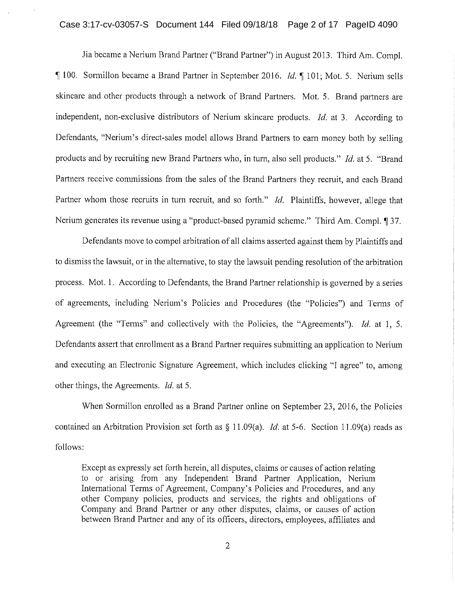# Case 3:17-cv-03057-S Document 144 Filed 09/18/18 Page 2 of 17 PageID 4090

Jia became a Nerium Brand Partner ("Brand Partner") in August 2013. Third Am. Compl. 100. Sormillon became a Brand Partner in September 2016. *Id.* 101; Mot. 5. Nerium sells skincare and other products through a network of Brand Partners. Mot. 5. Brand partners are independent, non-exclusive distributors of Nerium skincare products. *Id.* at 3. According to Defendants, "Nerium's direct-sales model allows Brand Partners to earn money both by selling products and by recruiting new Brand Partners who, in turn, also sell products." *Id.* at 5. "Brand Partners receive commissions from the sales of the Brand Partners they recruit, and each Brand Partner whom those recruits in turn recruit, and so forth." Id. Plaintiffs, however, allege that Nerium generates its revenue using a "product-based pyramid scheme." Third Am. Compl. 137.

Defendants move to compel arbitration of all claims asserted against them by Plaintiffs and to dismiss the lawsuit, or in the alternative, to stay the lawsuit pending resolution of the arbitration process. Mot. 1. According to Defendants, the Brand Partner relationship is governed by a series of agreements, including Nerium's Policies and Procedures (the "Policies") and Terms of Agreement (the "Terms" and collectively with the Policies, the "Agreements"). Id. at 1, 5. Defendants assert that enrollment as a Brand Partner requires submitting an application to Nerium and executing an Electronic Signature Agreement, which includes clicking "I agree" to, among other things, the Agreements. *Id.* at 5.

When Sormillon enrolled as a Brand Partner online on September 23, 2016, the Policies contained an Arbitration Provision set forth as  $\S$  11.09(a). *Id.* at 5-6. Section 11.09(a) reads as follows:

Except as expressly set forth herein, all disputes, claims or causes of action relating to or arising from any Independent Brand Partner Application, Nerium International Terms of Agreement, Company's Policies and Procedures, and any other Company policies, products and services, the rights and obligations of Company and Brand Partner or any other disputes, claims, or causes of action between Brand Partner and any of its officers, directors, employees, affiliates and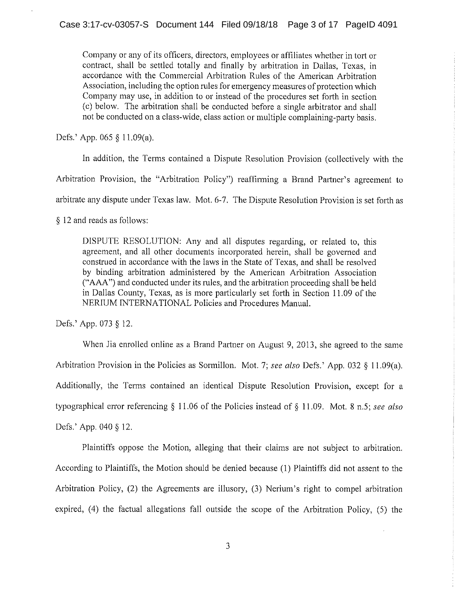Company or any of its officers, directors, employees or affiliates whether in tort or contract, shall be settled totally and finally by arbitration in Dallas, Texas, in accordance with the Commercial Arbitration Rules of the American Arbitration Association, including the option rules for emergency measures of protection which Company may use, in addition to or instead of the procedures set forth in section (c) below. The arbitration shall be conducted before a single arbitrator and shall not be conducted on a class-wide, class action or multiple complaining-party basis.

Defs.' App. 065  $§$  11.09(a).

In addition, the Terms contained a Dispute Resolution Provision (collectively with the

Arbitration Provision, the "Arbitration Policy") reaffirming a Brand Partner's agreement to

arbitrate any dispute under Texas law. Mot. 6-7. The Dispute Resolution Provision is set forth as

§ 12 and reads as follows:

DISPUTE RESOLUTION: Any and all disputes regarding, or related to, this agreement, and all other documents incorporated herein, shall be governed and construed in accordance with the laws in the State of Texas, and shall be resolved by binding arbitration administered by the American Arbitration Association ("AAA") and conducted under its rules, and the arbitration proceeding shall be held in Dallas County, Texas, as is more particularly set forth in Section 11.09 of the NERIUM INTERNATIONAL Policies and Procedures Manual.

Defs.' App. 073 § 12.

When Jia enrolled online as a Brand Partner on August 9, 2013, she agreed to the same Arbitration Provision in the Policies as Sormillon. Mot. 7; see also Defs.' App. 032 § 11.09(a). Additionally, the Terms contained an identical Dispute Resolution Provision, except for a typographical error referencing § 11.06 of the Policies instead of § 11.09. Mot. 8 n.5; see also Defs.' App. 040 § 12.

Plaintiffs oppose the Motion, alleging that their claims are not subject to arbitration. According to Plaintiffs, the Motion should be denied because (1) Plaintiffs did not assent to the Arbitration Policy, (2) the Agreements are illusory, (3) Nerium's right to compel arbitration expired, (4) the factual allegations fall outside the scope of the Arbitration Policy, (5) the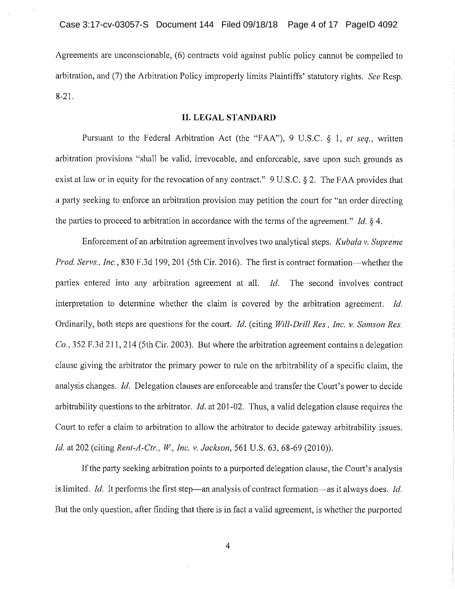Agreements are unconscionable, (6) contracts void against public policy cannot be compelled to arbitration, and (7) the Arbitration Policy improperly limits Plaintiffs' statutory rights. See Resp.  $8 - 21$ .

#### **II. LEGAL STANDARD**

Pursuant to the Federal Arbitration Act (the "FAA"), 9 U.S.C. § 1, et seq., written arbitration provisions "shall be valid, irrevocable, and enforceable, save upon such grounds as exist at law or in equity for the revocation of any contract." 9 U.S.C. § 2. The FAA provides that a party seeking to enforce an arbitration provision may petition the court for "an order directing the parties to proceed to arbitration in accordance with the terms of the agreement." *Id.*  $\S$  4.

Enforcement of an arbitration agreement involves two analytical steps. Kubala v. Supreme Prod. Servs., Inc., 830 F.3d 199, 201 (5th Cir. 2016). The first is contract formation—whether the parties entered into any arbitration agreement at all. Id. The second involves contract interpretation to determine whether the claim is covered by the arbitration agreement. Id. Ordinarily, both steps are questions for the court. *Id.* (citing *Will-Drill Res., Inc. v. Samson Res.*  $Co.$ , 352 F.3d 211, 214 (5th Cir. 2003). But where the arbitration agreement contains a delegation clause giving the arbitrator the primary power to rule on the arbitrability of a specific claim, the analysis changes. *Id.* Delegation clauses are enforceable and transfer the Court's power to decide arbitrability questions to the arbitrator. *Id.* at 201-02. Thus, a valid delegation clause requires the Court to refer a claim to arbitration to allow the arbitrator to decide gateway arbitrability issues. Id. at 202 (citing Rent-A-Ctr., W., Inc. v. Jackson, 561 U.S. 63, 68-69 (2010)).

If the party seeking arbitration points to a purported delegation clause, the Court's analysis is limited. *Id.* It performs the first step—an analysis of contract formation—as it always does. *Id.* But the only question, after finding that there is in fact a valid agreement, is whether the purported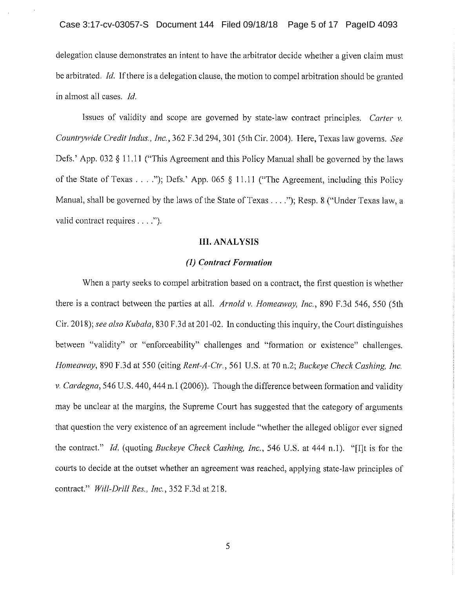delegation clause demonstrates an intent to have the arbitrator decide whether a given claim must be arbitrated. *Id*. If there is a delegation clause, the motion to compel arbitration should be granted in almost all cases. Id.

Issues of validity and scope are governed by state-law contract principles. Carter  $\nu$ . Countrywide Credit Indus., Inc., 362 F.3d 294, 301 (5th Cir. 2004). Here, Texas law governs. See Defs.' App. 032 § 11.11 ("This Agreement and this Policy Manual shall be governed by the laws of the State of Texas . . . ."); Defs.' App. 065 § 11.11 ("The Agreement, including this Policy Manual, shall be governed by the laws of the State of Texas . . . ."); Resp. 8 ("Under Texas law, a valid contract requires . . . .").

#### **III. ANALYSIS**

#### (1) Contract Formation

When a party seeks to compel arbitration based on a contract, the first question is whether there is a contract between the parties at all. Arnold v. Homeaway, Inc., 890 F.3d 546, 550 (5th Cir. 2018); see also Kubala, 830 F.3d at 201-02. In conducting this inquiry, the Court distinguishes between "validity" or "enforceability" challenges and "formation or existence" challenges. Homeaway, 890 F.3d at 550 (citing Rent-A-Ctr., 561 U.S. at 70 n.2; Buckeye Check Cashing, Inc. v. Cardegna, 546 U.S. 440, 444 n.1 (2006)). Though the difference between formation and validity may be unclear at the margins, the Supreme Court has suggested that the category of arguments that question the very existence of an agreement include "whether the alleged obligor ever signed the contract." Id. (quoting Buckeye Check Cashing, Inc., 546 U.S. at 444 n.1). "[I]t is for the courts to decide at the outset whether an agreement was reached, applying state-law principles of contract." Will-Drill Res., Inc., 352 F.3d at 218.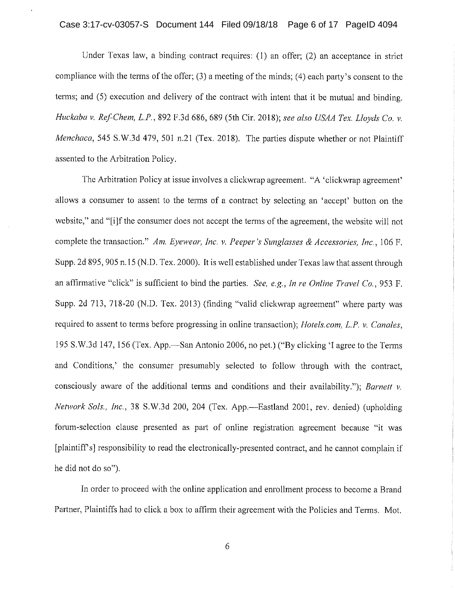### Case 3:17-cv-03057-S Document 144 Filed 09/18/18 Page 6 of 17 PageID 4094

Under Texas law, a binding contract requires: (1) an offer; (2) an acceptance in strict compliance with the terms of the offer; (3) a meeting of the minds; (4) each party's consent to the terms; and (5) execution and delivery of the contract with intent that it be mutual and binding. Huckaba v. Ref-Chem, L.P., 892 F.3d 686, 689 (5th Cir. 2018); see also USAA Tex. Lloyds Co. v. Menchaca, 545 S.W.3d 479, 501 n.21 (Tex. 2018). The parties dispute whether or not Plaintiff assented to the Arbitration Policy.

The Arbitration Policy at issue involves a clickwrap agreement. "A 'clickwrap agreement' allows a consumer to assent to the terms of a contract by selecting an 'accept' button on the website," and "[i]f the consumer does not accept the terms of the agreement, the website will not complete the transaction." Am. Eyewear, Inc. v. Peeper's Sunglasses & Accessories, Inc., 106 F. Supp. 2d 895, 905 n.15 (N.D. Tex. 2000). It is well established under Texas law that assent through an affirmative "click" is sufficient to bind the parties. See, e.g., In re Online Travel Co., 953 F. Supp. 2d 713, 718-20 (N.D. Tex. 2013) (finding "valid clickwrap agreement" where party was required to assent to terms before progressing in online transaction); Hotels.com, L.P. v. Canales, 195 S.W.3d 147, 156 (Tex. App.—San Antonio 2006, no pet.) ("By clicking 'I agree to the Terms and Conditions,' the consumer presumably selected to follow through with the contract, consciously aware of the additional terms and conditions and their availability."); Barnett v. Network Sols., Inc., 38 S.W.3d 200, 204 (Tex. App.—Eastland 2001, rev. denied) (upholding forum-selection clause presented as part of online registration agreement because "it was [plaintiff's] responsibility to read the electronically-presented contract, and he cannot complain if he did not do so").

In order to proceed with the online application and enrollment process to become a Brand Partner, Plaintiffs had to click a box to affirm their agreement with the Policies and Terms. Mot.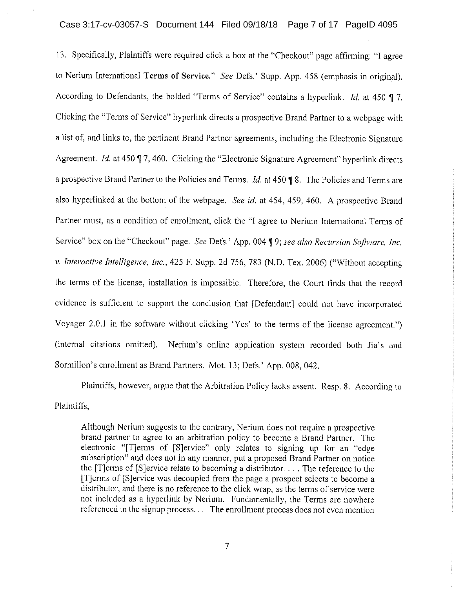## Case 3:17-cv-03057-S Document 144 Filed 09/18/18 Page 7 of 17 PageID 4095

13. Specifically, Plaintiffs were required click a box at the "Checkout" page affirming: "I agree to Nerium International Terms of Service." See Defs.' Supp. App. 458 (emphasis in original). According to Defendants, the bolded "Terms of Service" contains a hyperlink. *Id.* at 450 ¶ 7. Clicking the "Terms of Service" hyperlink directs a prospective Brand Partner to a webpage with a list of, and links to, the pertinent Brand Partner agreements, including the Electronic Signature Agreement. Id. at 450 ¶ 7, 460. Clicking the "Electronic Signature Agreement" hyperlink directs a prospective Brand Partner to the Policies and Terms. *Id.* at 450  $\sqrt{9}$  8. The Policies and Terms are also hyperlinked at the bottom of the webpage. See id. at 454, 459, 460. A prospective Brand Partner must, as a condition of enrollment, click the "I agree to Nerium International Terms of Service" box on the "Checkout" page. See Defs.' App. 004 ¶ 9; see also Recursion Software. Inc. v. Interactive Intelligence, Inc., 425 F. Supp. 2d 756, 783 (N.D. Tex. 2006) ("Without accepting the terms of the license, installation is impossible. Therefore, the Court finds that the record evidence is sufficient to support the conclusion that [Defendant] could not have incorporated Voyager 2.0.1 in the software without clicking 'Yes' to the terms of the license agreement.") (internal citations omitted). Nerium's online application system recorded both Jia's and Sormillon's enrollment as Brand Partners. Mot. 13; Defs.' App. 008, 042.

Plaintiffs, however, argue that the Arbitration Policy lacks assent. Resp. 8. According to Plaintiffs.

Although Nerium suggests to the contrary, Nerium does not require a prospective brand partner to agree to an arbitration policy to become a Brand Partner. The electronic "Terms of [S]ervice" only relates to signing up for an "edge" subscription" and does not in any manner, put a proposed Brand Partner on notice the [T] erms of [S] ervice relate to becoming a distributor.  $\ldots$  The reference to the [T]erms of [S]ervice was decoupled from the page a prospect selects to become a distributor, and there is no reference to the click wrap, as the terms of service were not included as a hyperlink by Nerium. Fundamentally, the Terms are nowhere referenced in the signup process.... The enrollment process does not even mention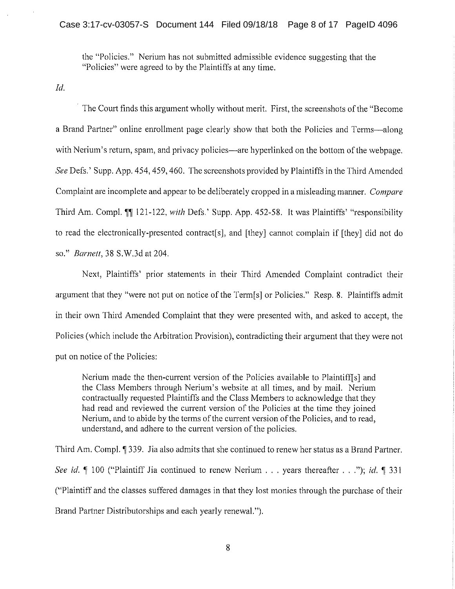the "Policies." Nerium has not submitted admissible evidence suggesting that the "Policies" were agreed to by the Plaintiffs at any time.

 $Id.$ 

The Court finds this argument wholly without merit. First, the screenshots of the "Become" a Brand Partner" online enrollment page clearly show that both the Policies and Terms—along with Nerium's return, spam, and privacy policies—are hyperlinked on the bottom of the webpage. See Defs.' Supp. App. 454, 459, 460. The screenshots provided by Plaintiffs in the Third Amended Complaint are incomplete and appear to be deliberately cropped in a misleading manner. Compare Third Am. Compl. ¶ 121-122, with Defs.' Supp. App. 452-58. It was Plaintiffs' "responsibility to read the electronically-presented contract[s], and [they] cannot complain if [they] did not do so." *Barnett*, 38 S.W.3d at 204.

Next, Plaintiffs' prior statements in their Third Amended Complaint contradict their argument that they "were not put on notice of the Term[s] or Policies." Resp. 8. Plaintiffs admit in their own Third Amended Complaint that they were presented with, and asked to accept, the Policies (which include the Arbitration Provision), contradicting their argument that they were not put on notice of the Policies:

Nerium made the then-current version of the Policies available to Plaintiff s and the Class Members through Nerium's website at all times, and by mail. Nerium contractually requested Plaintiffs and the Class Members to acknowledge that they had read and reviewed the current version of the Policies at the time they joined Nerium, and to abide by the terms of the current version of the Policies, and to read. understand, and adhere to the current version of the policies.

Third Am. Compl. 1 339. Jia also admits that she continued to renew her status as a Brand Partner. See id.  $\P$  100 ("Plaintiff Jia continued to renew Nerium . . . years thereafter . . ."); id.  $\P$  331 ("Plaintiff and the classes suffered damages in that they lost monies through the purchase of their Brand Partner Distributorships and each yearly renewal.").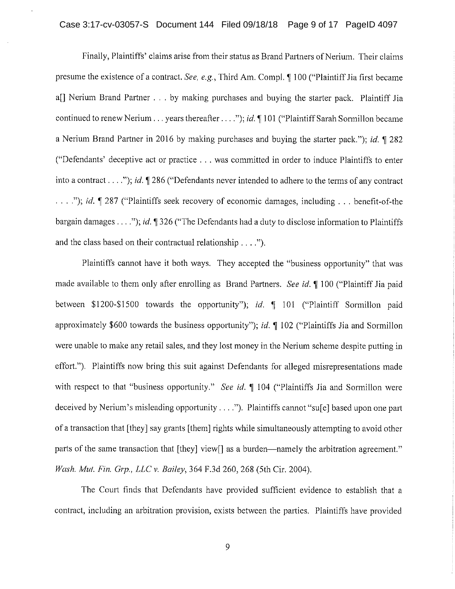## Case 3:17-cv-03057-S Document 144 Filed 09/18/18 Page 9 of 17 PageID 4097

Finally, Plaintiffs' claims arise from their status as Brand Partners of Nerium. Their claims presume the existence of a contract. See, e.g., Third Am. Compl. ¶ 100 ("Plaintiff Jia first became a[] Nerium Brand Partner . . . by making purchases and buying the starter pack. Plaintiff Jia continued to renew Nerium . . . years thereafter . . . ."); *id*.  $\P$  101 ("Plaintiff Sarah Sormillon became a Nerium Brand Partner in 2016 by making purchases and buying the starter pack."); id. 1 282 ("Defendants' deceptive act or practice . . . was committed in order to induce Plaintiffs to enter into a contract . . . ."); id.  $\P$  286 ("Defendants never intended to adhere to the terms of any contract ..."); id. ¶ 287 ("Plaintiffs seek recovery of economic damages, including ... benefit-of-the bargain damages . . . ."); id.  $\P$  326 ("The Defendants had a duty to disclose information to Plaintiffs and the class based on their contractual relationship  $\dots$ .

Plaintiffs cannot have it both ways. They accepted the "business opportunity" that was made available to them only after enrolling as Brand Partners. See id. ¶ 100 ("Plaintiff Jia paid between \$1200-\$1500 towards the opportunity"); id. ¶ 101 ("Plaintiff Sormillon paid approximately \$600 towards the business opportunity"); *id*.  $\parallel$  102 ("Plaintiffs Jia and Sormillon were unable to make any retail sales, and they lost money in the Nerium scheme despite putting in effort."). Plaintiffs now bring this suit against Defendants for alleged misrepresentations made with respect to that "business opportunity." See id. ¶ 104 ("Plaintiffs Jia and Sormillon were deceived by Nerium's misleading opportunity . . . ."). Plaintiffs cannot "sufel based upon one part of a transaction that [they] say grants [them] rights while simultaneously attempting to avoid other parts of the same transaction that [they] view[] as a burden—namely the arbitration agreement." Wash. Mut. Fin. Grp., LLC v. Bailey, 364 F.3d 260, 268 (5th Cir. 2004).

The Court finds that Defendants have provided sufficient evidence to establish that a contract, including an arbitration provision, exists between the parties. Plaintiffs have provided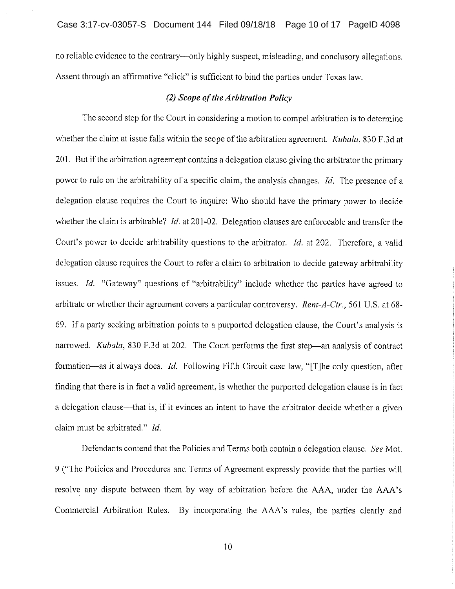no reliable evidence to the contrary—only highly suspect, misleading, and conclusory allegations. Assent through an affirmative "click" is sufficient to bind the parties under Texas law.

#### (2) Scope of the Arbitration Policy

The second step for the Court in considering a motion to compel arbitration is to determine whether the claim at issue falls within the scope of the arbitration agreement. *Kubala*, 830 F.3d at 201. But if the arbitration agreement contains a delegation clause giving the arbitrator the primary power to rule on the arbitrability of a specific claim, the analysis changes. Id. The presence of a delegation clause requires the Court to inquire: Who should have the primary power to decide whether the claim is arbitrable? *Id.* at 201-02. Delegation clauses are enforceable and transfer the Court's power to decide arbitrability questions to the arbitrator. Id. at 202. Therefore, a valid delegation clause requires the Court to refer a claim to arbitration to decide gateway arbitrability issues. Id. "Gateway" questions of "arbitrability" include whether the parties have agreed to arbitrate or whether their agreement covers a particular controversy. Rent-A-Ctr., 561 U.S. at 68-69. If a party seeking arbitration points to a purported delegation clause, the Court's analysis is narrowed. *Kubala*, 830 F.3d at 202. The Court performs the first step—an analysis of contract formation—as it always does. Id. Following Fifth Circuit case law, "[T]he only question, after finding that there is in fact a valid agreement, is whether the purported delegation clause is in fact a delegation clause—that is, if it evinces an intent to have the arbitrator decide whether a given claim must be arbitrated." Id.

Defendants contend that the Policies and Terms both contain a delegation clause. See Mot. 9 ("The Policies and Procedures and Terms of Agreement expressly provide that the parties will resolve any dispute between them by way of arbitration before the AAA, under the AAA's Commercial Arbitration Rules. By incorporating the AAA's rules, the parties clearly and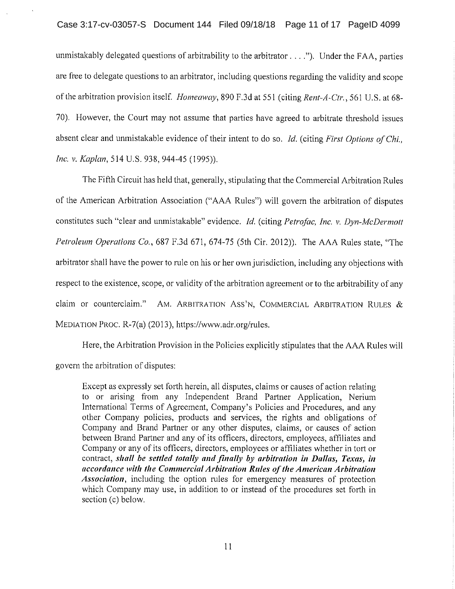unmistakably delegated questions of arbitrability to the arbitrator  $\dots$ .  $\therefore$  Under the FAA, parties are free to delegate questions to an arbitrator, including questions regarding the validity and scope of the arbitration provision itself. Homeaway, 890 F.3d at 551 (citing Rent-A-Ctr., 561 U.S. at 68-70). However, the Court may not assume that parties have agreed to arbitrate threshold issues absent clear and unmistakable evidence of their intent to do so. Id. (citing First Options of Chi. Inc. v. Kaplan, 514 U.S. 938, 944-45 (1995)).

The Fifth Circuit has held that, generally, stipulating that the Commercial Arbitration Rules of the American Arbitration Association ("AAA Rules") will govern the arbitration of disputes constitutes such "clear and unmistakable" evidence. Id. (citing Petrofac, Inc. v. Dyn-McDermott Petroleum Operations Co., 687 F.3d 671, 674-75 (5th Cir. 2012)). The AAA Rules state, "The arbitrator shall have the power to rule on his or her own jurisdiction, including any objections with respect to the existence, scope, or validity of the arbitration agreement or to the arbitrability of any claim or counterclaim." AM. ARBITRATION ASS'N, COMMERCIAL ARBITRATION RULES & MEDIATION PROC. R-7(a) (2013), https://www.adr.org/rules.

Here, the Arbitration Provision in the Policies explicitly stipulates that the AAA Rules will govern the arbitration of disputes:

Except as expressly set forth herein, all disputes, claims or causes of action relating to or arising from any Independent Brand Partner Application, Nerium International Terms of Agreement, Company's Policies and Procedures, and any other Company policies, products and services, the rights and obligations of Company and Brand Partner or any other disputes, claims, or causes of action between Brand Partner and any of its officers, directors, employees, affiliates and Company or any of its officers, directors, employees or affiliates whether in tort or contract, shall be settled totally and finally by arbitration in Dallas, Texas, in accordance with the Commercial Arbitration Rules of the American Arbitration Association, including the option rules for emergency measures of protection which Company may use, in addition to or instead of the procedures set forth in section (c) below.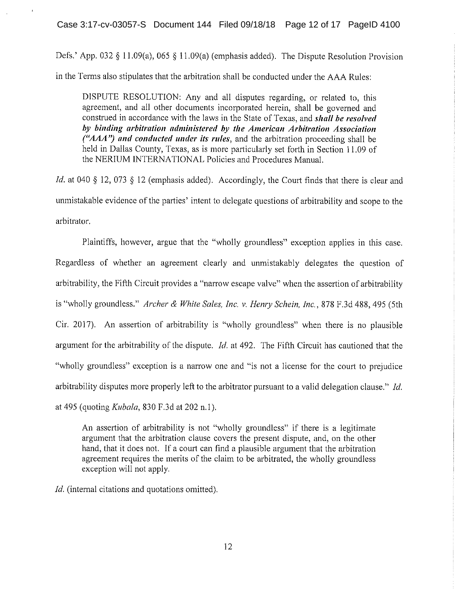Defs.' App. 032 § 11.09(a), 065 § 11.09(a) (emphasis added). The Dispute Resolution Provision in the Terms also stipulates that the arbitration shall be conducted under the AAA Rules:

DISPUTE RESOLUTION: Any and all disputes regarding, or related to, this agreement, and all other documents incorporated herein, shall be governed and construed in accordance with the laws in the State of Texas, and shall be resolved by binding arbitration administered by the American Arbitration Association ("AAA") and conducted under its rules, and the arbitration proceeding shall be held in Dallas County, Texas, as is more particularly set forth in Section 11.09 of the NERIUM INTERNATIONAL Policies and Procedures Manual.

*Id.* at 040 § 12, 073 § 12 (emphasis added). Accordingly, the Court finds that there is clear and unmistakable evidence of the parties' intent to delegate questions of arbitrability and scope to the arbitrator.

Plaintiffs, however, argue that the "wholly groundless" exception applies in this case. Regardless of whether an agreement clearly and unmistakably delegates the question of arbitrability, the Fifth Circuit provides a "narrow escape valve" when the assertion of arbitrability is "wholly groundless." Archer & White Sales, Inc. v. Henry Schein, Inc., 878 F.3d 488, 495 (5th Cir. 2017). An assertion of arbitrability is "wholly groundless" when there is no plausible argument for the arbitrability of the dispute. *Id.* at 492. The Fifth Circuit has cautioned that the "wholly groundless" exception is a narrow one and "is not a license for the court to prejudice arbitrability disputes more properly left to the arbitrator pursuant to a valid delegation clause." Id. at 495 (quoting *Kubala*, 830 F.3d at 202 n.1).

An assertion of arbitrability is not "wholly groundless" if there is a legitimate argument that the arbitration clause covers the present dispute, and, on the other hand, that it does not. If a court can find a plausible argument that the arbitration agreement requires the merits of the claim to be arbitrated, the wholly groundless exception will not apply.

*Id.* (internal citations and quotations omitted).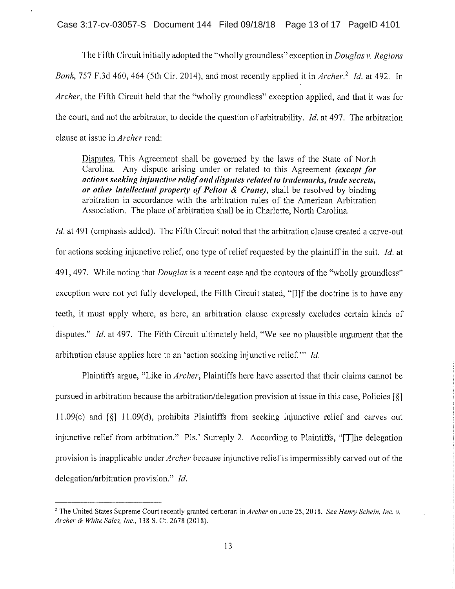The Fifth Circuit initially adopted the "wholly groundless" exception in *Douglas v. Regions* Bank, 757 F.3d 460, 464 (5th Cir. 2014), and most recently applied it in Archer.<sup>2</sup> Id. at 492. In Archer, the Fifth Circuit held that the "wholly groundless" exception applied, and that it was for the court, and not the arbitrator, to decide the question of arbitrability. *Id.* at 497. The arbitration clause at issue in *Archer* read:

Disputes. This Agreement shall be governed by the laws of the State of North Carolina. Any dispute arising under or related to this Agreement *(except for* actions seeking injunctive relief and disputes related to trademarks, trade secrets, or other intellectual property of Pelton & Crane), shall be resolved by binding arbitration in accordance with the arbitration rules of the American Arbitration Association. The place of arbitration shall be in Charlotte, North Carolina.

*Id.* at 491 (emphasis added). The Fifth Circuit noted that the arbitration clause created a carve-out for actions seeking injunctive relief, one type of relief requested by the plaintiff in the suit, Id. at 491, 497. While noting that *Douglas* is a recent case and the contours of the "wholly groundless" exception were not yet fully developed, the Fifth Circuit stated, "[I]f the doctrine is to have any teeth, it must apply where, as here, an arbitration clause expressly excludes certain kinds of disputes." *Id.* at 497. The Fifth Circuit ultimately held, "We see no plausible argument that the arbitration clause applies here to an 'action seeking injunctive relief." Id.

Plaintiffs argue, "Like in *Archer*, Plaintiffs here have asserted that their claims cannot be pursued in arbitration because the arbitration/delegation provision at issue in this case, Policies [§] 11.09(c) and  $\lceil \xi \rceil$  11.09(d), prohibits Plaintiffs from seeking injunctive relief and carves out injunctive relief from arbitration." Pls.' Surreply 2. According to Plaintiffs, "[T] he delegation provision is inapplicable under *Archer* because injunctive relief is impermissibly carved out of the delegation/arbitration provision." Id.

<sup>&</sup>lt;sup>2</sup> The United States Supreme Court recently granted certiorari in Archer on June 25, 2018. See Henry Schein, Inc. v. Archer & White Sales, Inc., 138 S. Ct. 2678 (2018).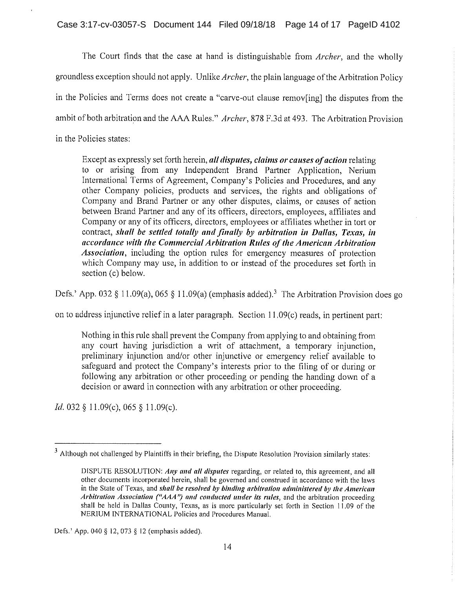The Court finds that the case at hand is distinguishable from *Archer*, and the wholly groundless exception should not apply. Unlike *Archer*, the plain language of the Arbitration Policy in the Policies and Terms does not create a "carve-out clause removing the disputes from the ambit of both arbitration and the AAA Rules." Archer, 878 F.3d at 493. The Arbitration Provision in the Policies states:

Except as expressly set forth herein, all disputes, claims or causes of action relating to or arising from any Independent Brand Partner Application, Nerium International Terms of Agreement, Company's Policies and Procedures, and any other Company policies, products and services, the rights and obligations of Company and Brand Partner or any other disputes, claims, or causes of action between Brand Partner and any of its officers, directors, employees, affiliates and Company or any of its officers, directors, employees or affiliates whether in tort or contract, shall be settled totally and finally by arbitration in Dallas, Texas, in accordance with the Commercial Arbitration Rules of the American Arbitration *Association*, including the option rules for emergency measures of protection which Company may use, in addition to or instead of the procedures set forth in section (c) below.

Defs.' App. 032 § 11.09(a), 065 § 11.09(a) (emphasis added).<sup>3</sup> The Arbitration Provision does go

on to address injunctive relief in a later paragraph. Section 11.09(c) reads, in pertinent part:

Nothing in this rule shall prevent the Company from applying to and obtaining from any court having jurisdiction a writ of attachment, a temporary injunction, preliminary injunction and/or other injunctive or emergency relief available to safeguard and protect the Company's interests prior to the filing of or during or following any arbitration or other proceeding or pending the handing down of a decision or award in connection with any arbitration or other proceeding.

*Id.* 032 § 11.09(c), 065 § 11.09(c).

<sup>&</sup>lt;sup>3</sup> Although not challenged by Plaintiffs in their briefing, the Dispute Resolution Provision similarly states:

DISPUTE RESOLUTION: Any and all disputes regarding, or related to, this agreement, and all other documents incorporated herein, shall be governed and construed in accordance with the laws in the State of Texas, and shall be resolved by binding arbitration administered by the American Arbitration Association ("AAA") and conducted under its rules, and the arbitration proceeding shall be held in Dallas County, Texas, as is more particularly set forth in Section 11.09 of the NERIUM INTERNATIONAL Policies and Procedures Manual.

Defs.' App. 040 § 12, 073 § 12 (emphasis added).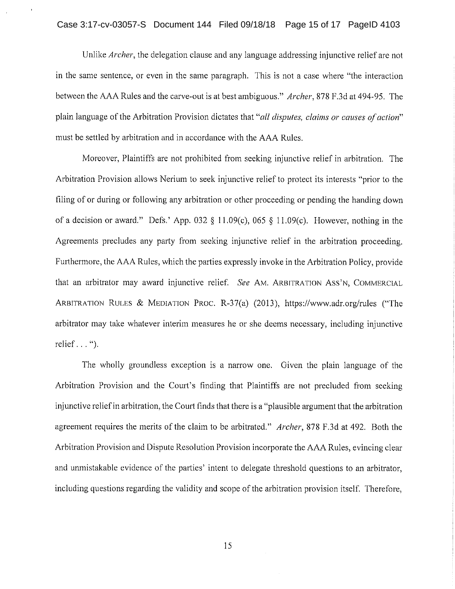Unlike Archer, the delegation clause and any language addressing injunctive relief are not in the same sentence, or even in the same paragraph. This is not a case where "the interaction" between the AAA Rules and the carve-out is at best ambiguous." *Archer*, 878 F.3d at 494-95. The plain language of the Arbitration Provision dictates that "all disputes, claims or causes of action" must be settled by arbitration and in accordance with the AAA Rules.

Moreover, Plaintiffs are not prohibited from seeking injunctive relief in arbitration. The Arbitration Provision allows Nerium to seek injunctive relief to protect its interests "prior to the filing of or during or following any arbitration or other proceeding or pending the handing down of a decision or award." Defs.' App. 032 § 11.09(c), 065 § 11.09(c). However, nothing in the Agreements precludes any party from seeking injunctive relief in the arbitration proceeding. Furthermore, the AAA Rules, which the parties expressly invoke in the Arbitration Policy, provide that an arbitrator may award injunctive relief. See AM. ARBITRATION ASS'N, COMMERCIAL ARBITRATION RULES & MEDIATION PROC. R-37(a) (2013), https://www.adr.org/rules ("The arbitrator may take whatever interim measures he or she deems necessary, including injunctive relief  $\ldots$ ").

The wholly groundless exception is a narrow one. Given the plain language of the Arbitration Provision and the Court's finding that Plaintiffs are not precluded from seeking injunctive relief in arbitration, the Court finds that there is a "plausible argument that the arbitration agreement requires the merits of the claim to be arbitrated." Archer, 878 F.3d at 492. Both the Arbitration Provision and Dispute Resolution Provision incorporate the AAA Rules, evincing clear and unmistakable evidence of the parties' intent to delegate threshold questions to an arbitrator, including questions regarding the validity and scope of the arbitration provision itself. Therefore,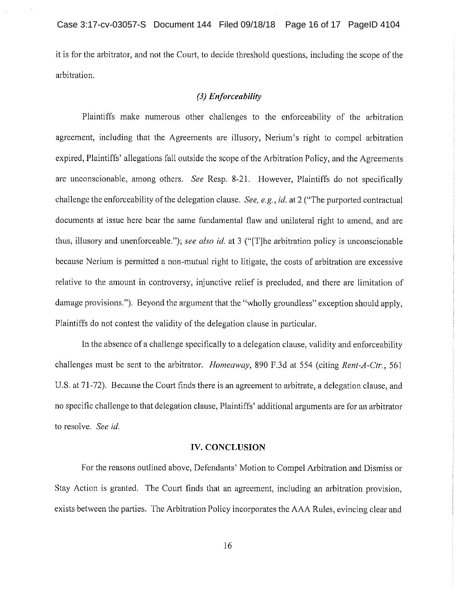it is for the arbitrator, and not the Court, to decide threshold questions, including the scope of the arbitration.

# (3) Enforceability

Plaintiffs make numerous other challenges to the enforceability of the arbitration agreement, including that the Agreements are illusory, Nerium's right to compel arbitration expired, Plaintiffs' allegations fall outside the scope of the Arbitration Policy, and the Agreements are unconscionable, among others. See Resp. 8-21. However, Plaintiffs do not specifically challenge the enforceability of the delegation clause. See, e.g., id. at 2 ("The purported contractual documents at issue here bear the same fundamental flaw and unilateral right to amend, and are thus, illusory and unenforceable."); see also id. at 3 ("[T]he arbitration policy is unconscionable because Nerium is permitted a non-mutual right to litigate, the costs of arbitration are excessive relative to the amount in controversy, injunctive relief is precluded, and there are limitation of damage provisions."). Beyond the argument that the "wholly groundless" exception should apply, Plaintiffs do not contest the validity of the delegation clause in particular.

In the absence of a challenge specifically to a delegation clause, validity and enforceability challenges must be sent to the arbitrator. *Homeaway*, 890 F.3d at 554 (citing Rent-A-Ctr., 561) U.S. at 71-72). Because the Court finds there is an agreement to arbitrate, a delegation clause, and no specific challenge to that delegation clause, Plaintiffs' additional arguments are for an arbitrator to resolve. See id.

## **IV. CONCLUSION**

For the reasons outlined above, Defendants' Motion to Compel Arbitration and Dismiss or Stay Action is granted. The Court finds that an agreement, including an arbitration provision, exists between the parties. The Arbitration Policy incorporates the AAA Rules, evincing clear and